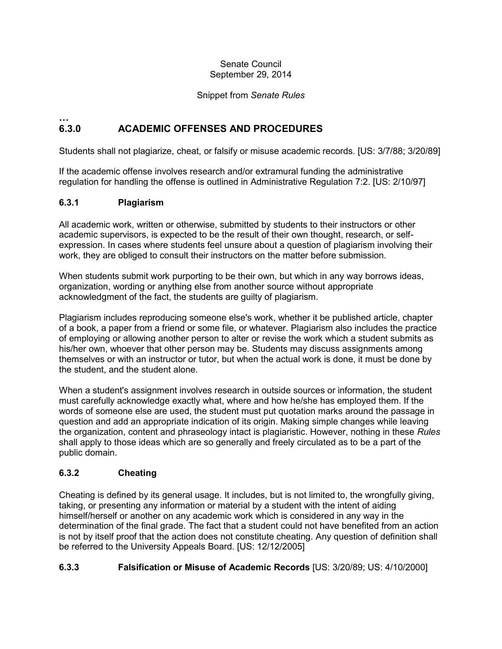#### Senate Council September 29, 2014

#### Snippet from *Senate Rules*

#### **… 6.3.0 ACADEMIC OFFENSES AND PROCEDURES**

Students shall not plagiarize, cheat, or falsify or misuse academic records. [US: 3/7/88; 3/20/89]

If the academic offense involves research and/or extramural funding the administrative regulation for handling the offense is outlined in Administrative Regulation 7:2. [US: 2/10/97]

#### **6.3.1 Plagiarism**

All academic work, written or otherwise, submitted by students to their instructors or other academic supervisors, is expected to be the result of their own thought, research, or selfexpression. In cases where students feel unsure about a question of plagiarism involving their work, they are obliged to consult their instructors on the matter before submission.

When students submit work purporting to be their own, but which in any way borrows ideas, organization, wording or anything else from another source without appropriate acknowledgment of the fact, the students are guilty of plagiarism.

Plagiarism includes reproducing someone else's work, whether it be published article, chapter of a book, a paper from a friend or some file, or whatever. Plagiarism also includes the practice of employing or allowing another person to alter or revise the work which a student submits as his/her own, whoever that other person may be. Students may discuss assignments among themselves or with an instructor or tutor, but when the actual work is done, it must be done by the student, and the student alone.

When a student's assignment involves research in outside sources or information, the student must carefully acknowledge exactly what, where and how he/she has employed them. If the words of someone else are used, the student must put quotation marks around the passage in question and add an appropriate indication of its origin. Making simple changes while leaving the organization, content and phraseology intact is plagiaristic. However, nothing in these *Rules*  shall apply to those ideas which are so generally and freely circulated as to be a part of the public domain.

### **6.3.2 Cheating**

Cheating is defined by its general usage. It includes, but is not limited to, the wrongfully giving, taking, or presenting any information or material by a student with the intent of aiding himself/herself or another on any academic work which is considered in any way in the determination of the final grade. The fact that a student could not have benefited from an action is not by itself proof that the action does not constitute cheating. Any question of definition shall be referred to the University Appeals Board. [US: 12/12/2005]

#### **6.3.3 Falsification or Misuse of Academic Records** [US: 3/20/89; US: 4/10/2000]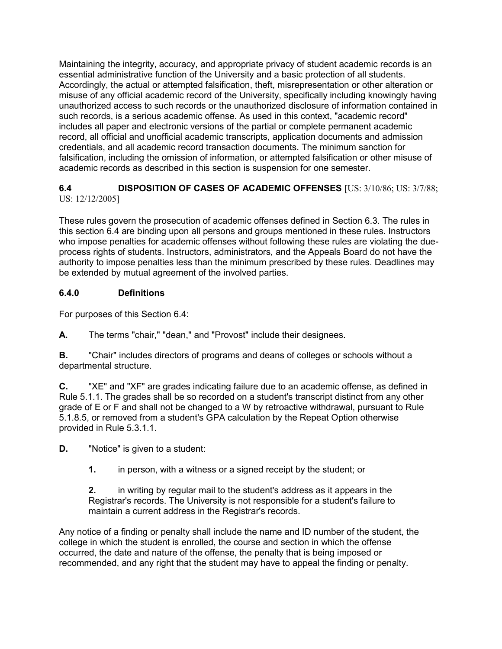Maintaining the integrity, accuracy, and appropriate privacy of student academic records is an essential administrative function of the University and a basic protection of all students. Accordingly, the actual or attempted falsification, theft, misrepresentation or other alteration or misuse of any official academic record of the University, specifically including knowingly having unauthorized access to such records or the unauthorized disclosure of information contained in such records, is a serious academic offense. As used in this context, "academic record" includes all paper and electronic versions of the partial or complete permanent academic record, all official and unofficial academic transcripts, application documents and admission credentials, and all academic record transaction documents. The minimum sanction for falsification, including the omission of information, or attempted falsification or other misuse of academic records as described in this section is suspension for one semester.

#### **6.4 DISPOSITION OF CASES OF ACADEMIC OFFENSES** [US: 3/10/86; US: 3/7/88; US: 12/12/2005]

These rules govern the prosecution of academic offenses defined in Section 6.3. The rules in this section 6.4 are binding upon all persons and groups mentioned in these rules. Instructors who impose penalties for academic offenses without following these rules are violating the dueprocess rights of students. Instructors, administrators, and the Appeals Board do not have the authority to impose penalties less than the minimum prescribed by these rules. Deadlines may be extended by mutual agreement of the involved parties.

### **6.4.0 Definitions**

For purposes of this Section 6.4:

**A.** The terms "chair," "dean," and "Provost" include their designees.

**B.** "Chair" includes directors of programs and deans of colleges or schools without a departmental structure.

**C.** "XE" and "XF" are grades indicating failure due to an academic offense, as defined in Rule 5.1.1. The grades shall be so recorded on a student's transcript distinct from any other grade of E or F and shall not be changed to a W by retroactive withdrawal, pursuant to Rule 5.1.8.5, or removed from a student's GPA calculation by the Repeat Option otherwise provided in Rule 5.3.1.1.

**D.** "Notice" is given to a student:

**1.** in person, with a witness or a signed receipt by the student; or

**2.** in writing by regular mail to the student's address as it appears in the Registrar's records. The University is not responsible for a student's failure to maintain a current address in the Registrar's records.

Any notice of a finding or penalty shall include the name and ID number of the student, the college in which the student is enrolled, the course and section in which the offense occurred, the date and nature of the offense, the penalty that is being imposed or recommended, and any right that the student may have to appeal the finding or penalty.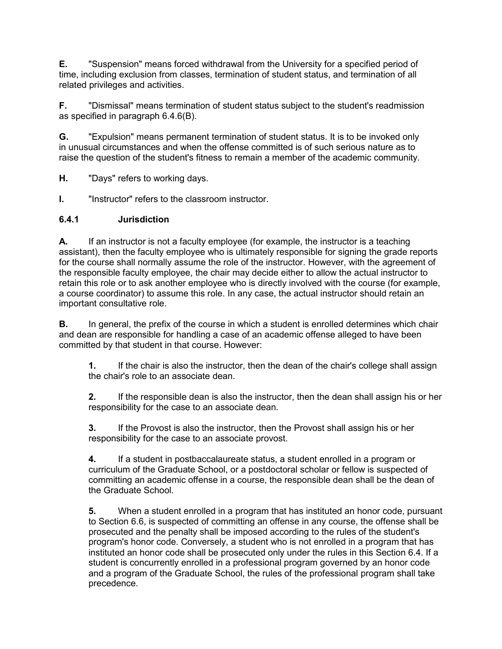**E.** "Suspension" means forced withdrawal from the University for a specified period of time, including exclusion from classes, termination of student status, and termination of all related privileges and activities.

**F.** "Dismissal" means termination of student status subject to the student's readmission as specified in paragraph 6.4.6(B).

**G.** "Expulsion" means permanent termination of student status. It is to be invoked only in unusual circumstances and when the offense committed is of such serious nature as to raise the question of the student's fitness to remain a member of the academic community.

**H.** "Days" refers to working days.

**I.** "Instructor" refers to the classroom instructor.

#### **6.4.1 Jurisdiction**

**A.** If an instructor is not a faculty employee (for example, the instructor is a teaching assistant), then the faculty employee who is ultimately responsible for signing the grade reports for the course shall normally assume the role of the instructor. However, with the agreement of the responsible faculty employee, the chair may decide either to allow the actual instructor to retain this role or to ask another employee who is directly involved with the course (for example, a course coordinator) to assume this role. In any case, the actual instructor should retain an important consultative role.

**B.** In general, the prefix of the course in which a student is enrolled determines which chair and dean are responsible for handling a case of an academic offense alleged to have been committed by that student in that course. However:

**1.** If the chair is also the instructor, then the dean of the chair's college shall assign the chair's role to an associate dean.

**2.** If the responsible dean is also the instructor, then the dean shall assign his or her responsibility for the case to an associate dean.

**3.** If the Provost is also the instructor, then the Provost shall assign his or her responsibility for the case to an associate provost.

**4.** If a student in postbaccalaureate status, a student enrolled in a program or curriculum of the Graduate School, or a postdoctoral scholar or fellow is suspected of committing an academic offense in a course, the responsible dean shall be the dean of the Graduate School.

**5.** When a student enrolled in a program that has instituted an honor code, pursuant to Section 6.6, is suspected of committing an offense in any course, the offense shall be prosecuted and the penalty shall be imposed according to the rules of the student's program's honor code. Conversely, a student who is not enrolled in a program that has instituted an honor code shall be prosecuted only under the rules in this Section 6.4. If a student is concurrently enrolled in a professional program governed by an honor code and a program of the Graduate School, the rules of the professional program shall take precedence.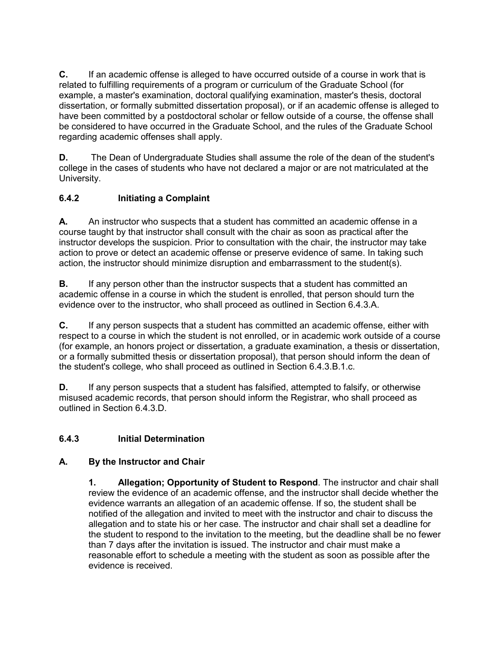**C.** If an academic offense is alleged to have occurred outside of a course in work that is related to fulfilling requirements of a program or curriculum of the Graduate School (for example, a master's examination, doctoral qualifying examination, master's thesis, doctoral dissertation, or formally submitted dissertation proposal), or if an academic offense is alleged to have been committed by a postdoctoral scholar or fellow outside of a course, the offense shall be considered to have occurred in the Graduate School, and the rules of the Graduate School regarding academic offenses shall apply.

**D.** The Dean of Undergraduate Studies shall assume the role of the dean of the student's college in the cases of students who have not declared a major or are not matriculated at the University.

## **6.4.2 Initiating a Complaint**

**A.** An instructor who suspects that a student has committed an academic offense in a course taught by that instructor shall consult with the chair as soon as practical after the instructor develops the suspicion. Prior to consultation with the chair, the instructor may take action to prove or detect an academic offense or preserve evidence of same. In taking such action, the instructor should minimize disruption and embarrassment to the student(s).

**B.** If any person other than the instructor suspects that a student has committed an academic offense in a course in which the student is enrolled, that person should turn the evidence over to the instructor, who shall proceed as outlined in Section 6.4.3.A.

**C.** If any person suspects that a student has committed an academic offense, either with respect to a course in which the student is not enrolled, or in academic work outside of a course (for example, an honors project or dissertation, a graduate examination, a thesis or dissertation, or a formally submitted thesis or dissertation proposal), that person should inform the dean of the student's college, who shall proceed as outlined in Section 6.4.3.B.1.c.

**D.** If any person suspects that a student has falsified, attempted to falsify, or otherwise misused academic records, that person should inform the Registrar, who shall proceed as outlined in Section 6.4.3.D.

## **6.4.3 Initial Determination**

### **A. By the Instructor and Chair**

**1. Allegation; Opportunity of Student to Respond**. The instructor and chair shall review the evidence of an academic offense, and the instructor shall decide whether the evidence warrants an allegation of an academic offense. If so, the student shall be notified of the allegation and invited to meet with the instructor and chair to discuss the allegation and to state his or her case. The instructor and chair shall set a deadline for the student to respond to the invitation to the meeting, but the deadline shall be no fewer than 7 days after the invitation is issued. The instructor and chair must make a reasonable effort to schedule a meeting with the student as soon as possible after the evidence is received.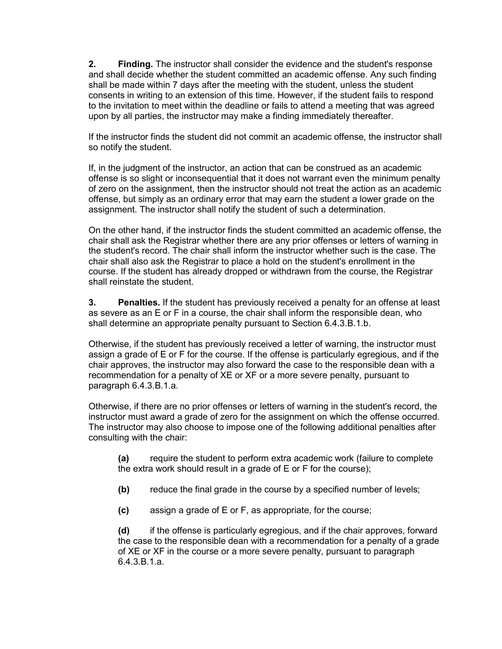**2. Finding.** The instructor shall consider the evidence and the student's response and shall decide whether the student committed an academic offense. Any such finding shall be made within 7 days after the meeting with the student, unless the student consents in writing to an extension of this time. However, if the student fails to respond to the invitation to meet within the deadline or fails to attend a meeting that was agreed upon by all parties, the instructor may make a finding immediately thereafter.

If the instructor finds the student did not commit an academic offense, the instructor shall so notify the student.

If, in the judgment of the instructor, an action that can be construed as an academic offense is so slight or inconsequential that it does not warrant even the minimum penalty of zero on the assignment, then the instructor should not treat the action as an academic offense, but simply as an ordinary error that may earn the student a lower grade on the assignment. The instructor shall notify the student of such a determination.

On the other hand, if the instructor finds the student committed an academic offense, the chair shall ask the Registrar whether there are any prior offenses or letters of warning in the student's record. The chair shall inform the instructor whether such is the case. The chair shall also ask the Registrar to place a hold on the student's enrollment in the course. If the student has already dropped or withdrawn from the course, the Registrar shall reinstate the student.

**3. Penalties.** If the student has previously received a penalty for an offense at least as severe as an E or F in a course, the chair shall inform the responsible dean, who shall determine an appropriate penalty pursuant to Section 6.4.3.B.1.b.

Otherwise, if the student has previously received a letter of warning, the instructor must assign a grade of E or F for the course. If the offense is particularly egregious, and if the chair approves, the instructor may also forward the case to the responsible dean with a recommendation for a penalty of XE or XF or a more severe penalty, pursuant to paragraph 6.4.3.B.1.a.

Otherwise, if there are no prior offenses or letters of warning in the student's record, the instructor must award a grade of zero for the assignment on which the offense occurred. The instructor may also choose to impose one of the following additional penalties after consulting with the chair:

**(a)** require the student to perform extra academic work (failure to complete the extra work should result in a grade of E or F for the course);

- **(b)** reduce the final grade in the course by a specified number of levels;
- **(c)** assign a grade of E or F, as appropriate, for the course;

**(d)** if the offense is particularly egregious, and if the chair approves, forward the case to the responsible dean with a recommendation for a penalty of a grade of XE or XF in the course or a more severe penalty, pursuant to paragraph 6.4.3.B.1.a.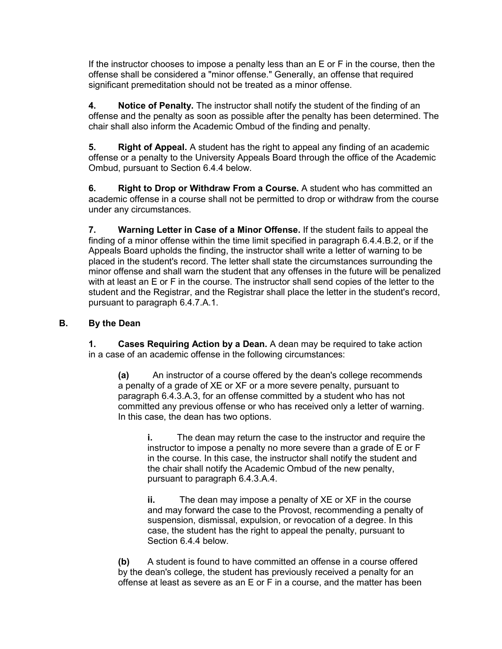If the instructor chooses to impose a penalty less than an E or F in the course, then the offense shall be considered a "minor offense." Generally, an offense that required significant premeditation should not be treated as a minor offense.

**4. Notice of Penalty.** The instructor shall notify the student of the finding of an offense and the penalty as soon as possible after the penalty has been determined. The chair shall also inform the Academic Ombud of the finding and penalty.

**5. Right of Appeal.** A student has the right to appeal any finding of an academic offense or a penalty to the University Appeals Board through the office of the Academic Ombud, pursuant to Section 6.4.4 below.

**6. Right to Drop or Withdraw From a Course.** A student who has committed an academic offense in a course shall not be permitted to drop or withdraw from the course under any circumstances.

**7. Warning Letter in Case of a Minor Offense.** If the student fails to appeal the finding of a minor offense within the time limit specified in paragraph 6.4.4.B.2, or if the Appeals Board upholds the finding, the instructor shall write a letter of warning to be placed in the student's record. The letter shall state the circumstances surrounding the minor offense and shall warn the student that any offenses in the future will be penalized with at least an E or F in the course. The instructor shall send copies of the letter to the student and the Registrar, and the Registrar shall place the letter in the student's record, pursuant to paragraph 6.4.7.A.1.

### **B. By the Dean**

**1. Cases Requiring Action by a Dean.** A dean may be required to take action in a case of an academic offense in the following circumstances:

**(a)** An instructor of a course offered by the dean's college recommends a penalty of a grade of XE or XF or a more severe penalty, pursuant to paragraph 6.4.3.A.3, for an offense committed by a student who has not committed any previous offense or who has received only a letter of warning. In this case, the dean has two options.

**i.** The dean may return the case to the instructor and require the instructor to impose a penalty no more severe than a grade of E or F in the course. In this case, the instructor shall notify the student and the chair shall notify the Academic Ombud of the new penalty, pursuant to paragraph 6.4.3.A.4.

**ii.** The dean may impose a penalty of XE or XF in the course and may forward the case to the Provost, recommending a penalty of suspension, dismissal, expulsion, or revocation of a degree. In this case, the student has the right to appeal the penalty, pursuant to Section 6.4.4 below.

**(b)** A student is found to have committed an offense in a course offered by the dean's college, the student has previously received a penalty for an offense at least as severe as an E or F in a course, and the matter has been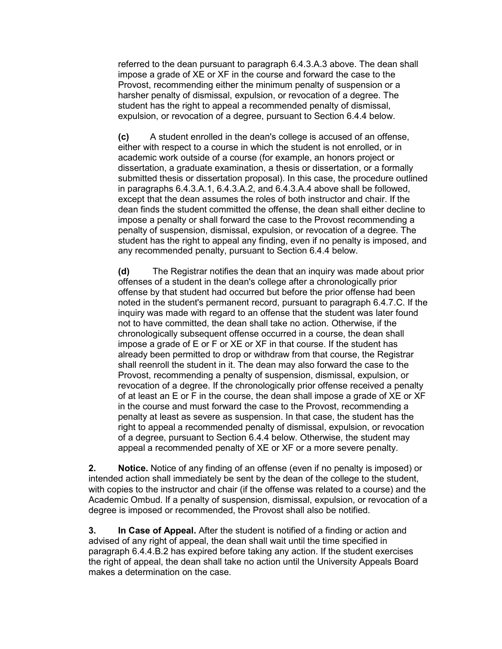referred to the dean pursuant to paragraph 6.4.3.A.3 above. The dean shall impose a grade of XE or XF in the course and forward the case to the Provost, recommending either the minimum penalty of suspension or a harsher penalty of dismissal, expulsion, or revocation of a degree. The student has the right to appeal a recommended penalty of dismissal. expulsion, or revocation of a degree, pursuant to Section 6.4.4 below.

**(c)** A student enrolled in the dean's college is accused of an offense, either with respect to a course in which the student is not enrolled, or in academic work outside of a course (for example, an honors project or dissertation, a graduate examination, a thesis or dissertation, or a formally submitted thesis or dissertation proposal). In this case, the procedure outlined in paragraphs 6.4.3.A.1, 6.4.3.A.2, and 6.4.3.A.4 above shall be followed, except that the dean assumes the roles of both instructor and chair. If the dean finds the student committed the offense, the dean shall either decline to impose a penalty or shall forward the case to the Provost recommending a penalty of suspension, dismissal, expulsion, or revocation of a degree. The student has the right to appeal any finding, even if no penalty is imposed, and any recommended penalty, pursuant to Section 6.4.4 below.

**(d)** The Registrar notifies the dean that an inquiry was made about prior offenses of a student in the dean's college after a chronologically prior offense by that student had occurred but before the prior offense had been noted in the student's permanent record, pursuant to paragraph 6.4.7.C. If the inquiry was made with regard to an offense that the student was later found not to have committed, the dean shall take no action. Otherwise, if the chronologically subsequent offense occurred in a course, the dean shall impose a grade of E or F or XE or XF in that course. If the student has already been permitted to drop or withdraw from that course, the Registrar shall reenroll the student in it. The dean may also forward the case to the Provost, recommending a penalty of suspension, dismissal, expulsion, or revocation of a degree. If the chronologically prior offense received a penalty of at least an E or F in the course, the dean shall impose a grade of XE or XF in the course and must forward the case to the Provost, recommending a penalty at least as severe as suspension. In that case, the student has the right to appeal a recommended penalty of dismissal, expulsion, or revocation of a degree, pursuant to Section 6.4.4 below. Otherwise, the student may appeal a recommended penalty of XE or XF or a more severe penalty.

**2. Notice.** Notice of any finding of an offense (even if no penalty is imposed) or intended action shall immediately be sent by the dean of the college to the student, with copies to the instructor and chair (if the offense was related to a course) and the Academic Ombud. If a penalty of suspension, dismissal, expulsion, or revocation of a degree is imposed or recommended, the Provost shall also be notified.

**3. In Case of Appeal.** After the student is notified of a finding or action and advised of any right of appeal, the dean shall wait until the time specified in paragraph 6.4.4.B.2 has expired before taking any action. If the student exercises the right of appeal, the dean shall take no action until the University Appeals Board makes a determination on the case.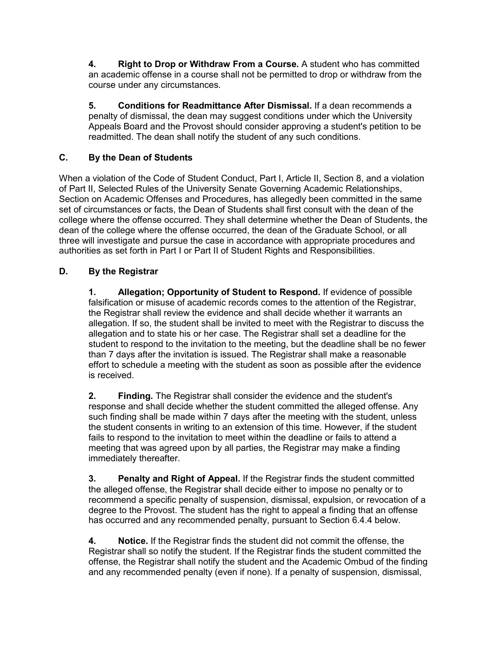**4. Right to Drop or Withdraw From a Course.** A student who has committed an academic offense in a course shall not be permitted to drop or withdraw from the course under any circumstances.

**5. Conditions for Readmittance After Dismissal.** If a dean recommends a penalty of dismissal, the dean may suggest conditions under which the University Appeals Board and the Provost should consider approving a student's petition to be readmitted. The dean shall notify the student of any such conditions.

### **C. By the Dean of Students**

When a violation of the Code of Student Conduct, Part I, Article II, Section 8, and a violation of Part II, Selected Rules of the University Senate Governing Academic Relationships, Section on Academic Offenses and Procedures, has allegedly been committed in the same set of circumstances or facts, the Dean of Students shall first consult with the dean of the college where the offense occurred. They shall determine whether the Dean of Students, the dean of the college where the offense occurred, the dean of the Graduate School, or all three will investigate and pursue the case in accordance with appropriate procedures and authorities as set forth in Part I or Part II of Student Rights and Responsibilities.

### **D. By the Registrar**

**1. Allegation; Opportunity of Student to Respond.** If evidence of possible falsification or misuse of academic records comes to the attention of the Registrar, the Registrar shall review the evidence and shall decide whether it warrants an allegation. If so, the student shall be invited to meet with the Registrar to discuss the allegation and to state his or her case. The Registrar shall set a deadline for the student to respond to the invitation to the meeting, but the deadline shall be no fewer than 7 days after the invitation is issued. The Registrar shall make a reasonable effort to schedule a meeting with the student as soon as possible after the evidence is received.

**2. Finding.** The Registrar shall consider the evidence and the student's response and shall decide whether the student committed the alleged offense. Any such finding shall be made within 7 days after the meeting with the student, unless the student consents in writing to an extension of this time. However, if the student fails to respond to the invitation to meet within the deadline or fails to attend a meeting that was agreed upon by all parties, the Registrar may make a finding immediately thereafter.

**3. Penalty and Right of Appeal.** If the Registrar finds the student committed the alleged offense, the Registrar shall decide either to impose no penalty or to recommend a specific penalty of suspension, dismissal, expulsion, or revocation of a degree to the Provost. The student has the right to appeal a finding that an offense has occurred and any recommended penalty, pursuant to Section 6.4.4 below.

**4. Notice.** If the Registrar finds the student did not commit the offense, the Registrar shall so notify the student. If the Registrar finds the student committed the offense, the Registrar shall notify the student and the Academic Ombud of the finding and any recommended penalty (even if none). If a penalty of suspension, dismissal,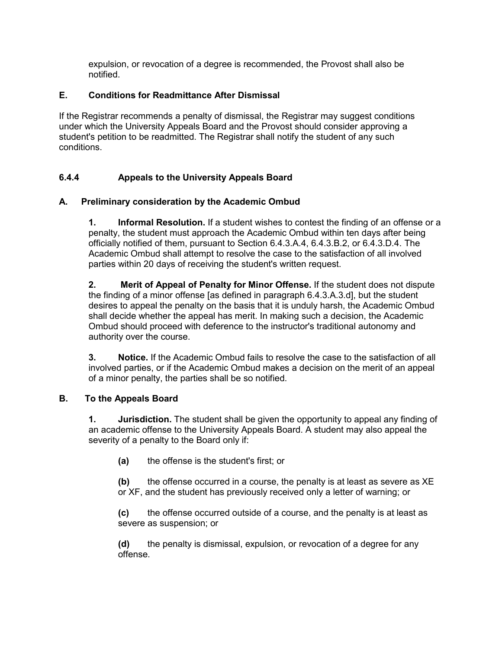expulsion, or revocation of a degree is recommended, the Provost shall also be notified.

### **E. Conditions for Readmittance After Dismissal**

If the Registrar recommends a penalty of dismissal, the Registrar may suggest conditions under which the University Appeals Board and the Provost should consider approving a student's petition to be readmitted. The Registrar shall notify the student of any such conditions.

## **6.4.4 Appeals to the University Appeals Board**

### **A. Preliminary consideration by the Academic Ombud**

**1. Informal Resolution.** If a student wishes to contest the finding of an offense or a penalty, the student must approach the Academic Ombud within ten days after being officially notified of them, pursuant to Section 6.4.3.A.4, 6.4.3.B.2, or 6.4.3.D.4. The Academic Ombud shall attempt to resolve the case to the satisfaction of all involved parties within 20 days of receiving the student's written request.

**2. Merit of Appeal of Penalty for Minor Offense.** If the student does not dispute the finding of a minor offense [as defined in paragraph 6.4.3.A.3.d], but the student desires to appeal the penalty on the basis that it is unduly harsh, the Academic Ombud shall decide whether the appeal has merit. In making such a decision, the Academic Ombud should proceed with deference to the instructor's traditional autonomy and authority over the course.

**3. Notice.** If the Academic Ombud fails to resolve the case to the satisfaction of all involved parties, or if the Academic Ombud makes a decision on the merit of an appeal of a minor penalty, the parties shall be so notified.

### **B. To the Appeals Board**

**1. Jurisdiction.** The student shall be given the opportunity to appeal any finding of an academic offense to the University Appeals Board. A student may also appeal the severity of a penalty to the Board only if:

**(a)** the offense is the student's first; or

**(b)** the offense occurred in a course, the penalty is at least as severe as XE or XF, and the student has previously received only a letter of warning; or

**(c)** the offense occurred outside of a course, and the penalty is at least as severe as suspension; or

**(d)** the penalty is dismissal, expulsion, or revocation of a degree for any offense.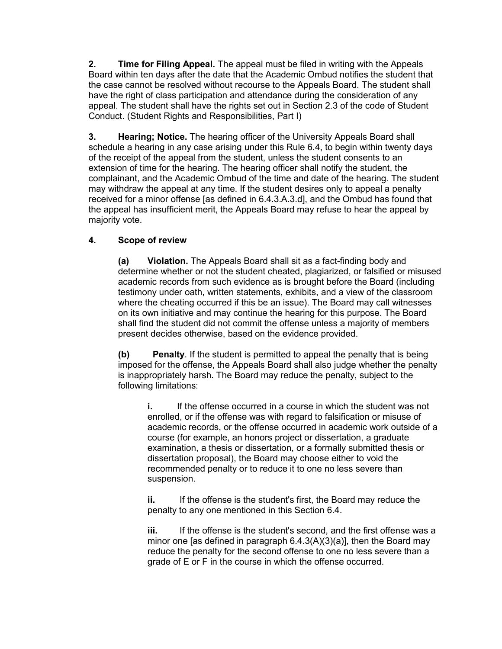**2. Time for Filing Appeal.** The appeal must be filed in writing with the Appeals Board within ten days after the date that the Academic Ombud notifies the student that the case cannot be resolved without recourse to the Appeals Board. The student shall have the right of class participation and attendance during the consideration of any appeal. The student shall have the rights set out in Section 2.3 of the code of Student Conduct. (Student Rights and Responsibilities, Part I)

**3. Hearing; Notice.** The hearing officer of the University Appeals Board shall schedule a hearing in any case arising under this Rule 6.4, to begin within twenty days of the receipt of the appeal from the student, unless the student consents to an extension of time for the hearing. The hearing officer shall notify the student, the complainant, and the Academic Ombud of the time and date of the hearing. The student may withdraw the appeal at any time. If the student desires only to appeal a penalty received for a minor offense [as defined in 6.4.3.A.3.d], and the Ombud has found that the appeal has insufficient merit, the Appeals Board may refuse to hear the appeal by majority vote.

### **4. Scope of review**

**(a) Violation.** The Appeals Board shall sit as a fact-finding body and determine whether or not the student cheated, plagiarized, or falsified or misused academic records from such evidence as is brought before the Board (including testimony under oath, written statements, exhibits, and a view of the classroom where the cheating occurred if this be an issue). The Board may call witnesses on its own initiative and may continue the hearing for this purpose. The Board shall find the student did not commit the offense unless a majority of members present decides otherwise, based on the evidence provided.

**(b) Penalty**. If the student is permitted to appeal the penalty that is being imposed for the offense, the Appeals Board shall also judge whether the penalty is inappropriately harsh. The Board may reduce the penalty, subject to the following limitations:

**i.** If the offense occurred in a course in which the student was not enrolled, or if the offense was with regard to falsification or misuse of academic records, or the offense occurred in academic work outside of a course (for example, an honors project or dissertation, a graduate examination, a thesis or dissertation, or a formally submitted thesis or dissertation proposal), the Board may choose either to void the recommended penalty or to reduce it to one no less severe than suspension.

**ii.** If the offense is the student's first, the Board may reduce the penalty to any one mentioned in this Section 6.4.

**iii.** If the offense is the student's second, and the first offense was a minor one [as defined in paragraph 6.4.3(A)(3)(a)], then the Board may reduce the penalty for the second offense to one no less severe than a grade of E or F in the course in which the offense occurred.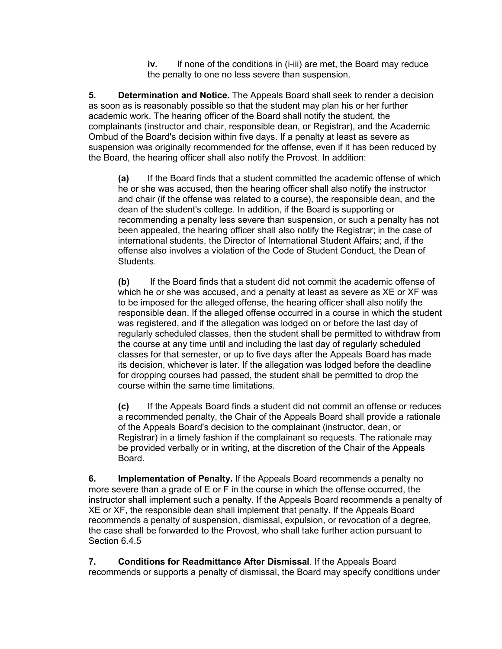**iv.** If none of the conditions in (i-iii) are met, the Board may reduce the penalty to one no less severe than suspension.

**5. Determination and Notice.** The Appeals Board shall seek to render a decision as soon as is reasonably possible so that the student may plan his or her further academic work. The hearing officer of the Board shall notify the student, the complainants (instructor and chair, responsible dean, or Registrar), and the Academic Ombud of the Board's decision within five days. If a penalty at least as severe as suspension was originally recommended for the offense, even if it has been reduced by the Board, the hearing officer shall also notify the Provost. In addition:

**(a)** If the Board finds that a student committed the academic offense of which he or she was accused, then the hearing officer shall also notify the instructor and chair (if the offense was related to a course), the responsible dean, and the dean of the student's college. In addition, if the Board is supporting or recommending a penalty less severe than suspension, or such a penalty has not been appealed, the hearing officer shall also notify the Registrar; in the case of international students, the Director of International Student Affairs; and, if the offense also involves a violation of the Code of Student Conduct, the Dean of Students.

**(b)** If the Board finds that a student did not commit the academic offense of which he or she was accused, and a penalty at least as severe as XE or XF was to be imposed for the alleged offense, the hearing officer shall also notify the responsible dean. If the alleged offense occurred in a course in which the student was registered, and if the allegation was lodged on or before the last day of regularly scheduled classes, then the student shall be permitted to withdraw from the course at any time until and including the last day of regularly scheduled classes for that semester, or up to five days after the Appeals Board has made its decision, whichever is later. If the allegation was lodged before the deadline for dropping courses had passed, the student shall be permitted to drop the course within the same time limitations.

**(c)** If the Appeals Board finds a student did not commit an offense or reduces a recommended penalty, the Chair of the Appeals Board shall provide a rationale of the Appeals Board's decision to the complainant (instructor, dean, or Registrar) in a timely fashion if the complainant so requests. The rationale may be provided verbally or in writing, at the discretion of the Chair of the Appeals Board.

**6. Implementation of Penalty.** If the Appeals Board recommends a penalty no more severe than a grade of E or F in the course in which the offense occurred, the instructor shall implement such a penalty. If the Appeals Board recommends a penalty of XE or XF, the responsible dean shall implement that penalty. If the Appeals Board recommends a penalty of suspension, dismissal, expulsion, or revocation of a degree, the case shall be forwarded to the Provost, who shall take further action pursuant to Section 6.4.5

**7. Conditions for Readmittance After Dismissal**. If the Appeals Board recommends or supports a penalty of dismissal, the Board may specify conditions under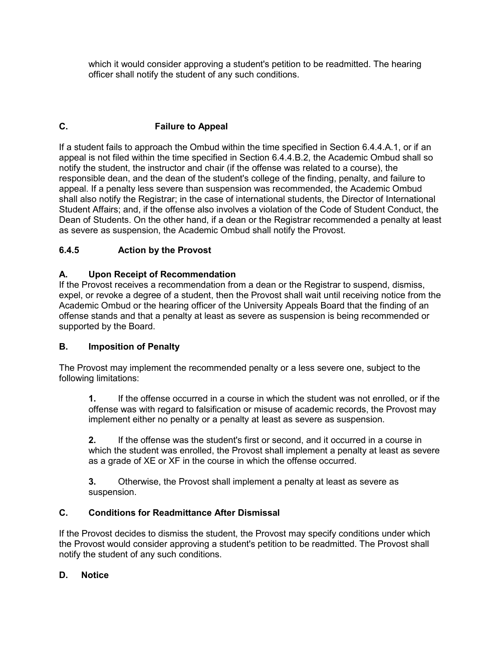which it would consider approving a student's petition to be readmitted. The hearing officer shall notify the student of any such conditions.

# **C. Failure to Appeal**

If a student fails to approach the Ombud within the time specified in Section 6.4.4.A.1, or if an appeal is not filed within the time specified in Section 6.4.4.B.2, the Academic Ombud shall so notify the student, the instructor and chair (if the offense was related to a course), the responsible dean, and the dean of the student's college of the finding, penalty, and failure to appeal. If a penalty less severe than suspension was recommended, the Academic Ombud shall also notify the Registrar; in the case of international students, the Director of International Student Affairs; and, if the offense also involves a violation of the Code of Student Conduct, the Dean of Students. On the other hand, if a dean or the Registrar recommended a penalty at least as severe as suspension, the Academic Ombud shall notify the Provost.

## **6.4.5 Action by the Provost**

### **A. Upon Receipt of Recommendation**

If the Provost receives a recommendation from a dean or the Registrar to suspend, dismiss, expel, or revoke a degree of a student, then the Provost shall wait until receiving notice from the Academic Ombud or the hearing officer of the University Appeals Board that the finding of an offense stands and that a penalty at least as severe as suspension is being recommended or supported by the Board.

### **B. Imposition of Penalty**

The Provost may implement the recommended penalty or a less severe one, subject to the following limitations:

**1.** If the offense occurred in a course in which the student was not enrolled, or if the offense was with regard to falsification or misuse of academic records, the Provost may implement either no penalty or a penalty at least as severe as suspension.

**2.** If the offense was the student's first or second, and it occurred in a course in which the student was enrolled, the Provost shall implement a penalty at least as severe as a grade of XE or XF in the course in which the offense occurred.

**3.** Otherwise, the Provost shall implement a penalty at least as severe as suspension.

### **C. Conditions for Readmittance After Dismissal**

If the Provost decides to dismiss the student, the Provost may specify conditions under which the Provost would consider approving a student's petition to be readmitted. The Provost shall notify the student of any such conditions.

### **D. Notice**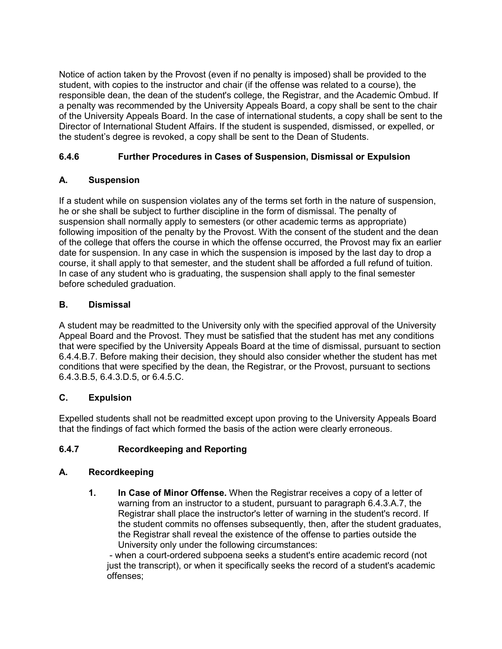Notice of action taken by the Provost (even if no penalty is imposed) shall be provided to the student, with copies to the instructor and chair (if the offense was related to a course), the responsible dean, the dean of the student's college, the Registrar, and the Academic Ombud. If a penalty was recommended by the University Appeals Board, a copy shall be sent to the chair of the University Appeals Board. In the case of international students, a copy shall be sent to the Director of International Student Affairs. If the student is suspended, dismissed, or expelled, or the student's degree is revoked, a copy shall be sent to the Dean of Students.

### **6.4.6 Further Procedures in Cases of Suspension, Dismissal or Expulsion**

### **A. Suspension**

If a student while on suspension violates any of the terms set forth in the nature of suspension, he or she shall be subject to further discipline in the form of dismissal. The penalty of suspension shall normally apply to semesters (or other academic terms as appropriate) following imposition of the penalty by the Provost. With the consent of the student and the dean of the college that offers the course in which the offense occurred, the Provost may fix an earlier date for suspension. In any case in which the suspension is imposed by the last day to drop a course, it shall apply to that semester, and the student shall be afforded a full refund of tuition. In case of any student who is graduating, the suspension shall apply to the final semester before scheduled graduation.

### **B. Dismissal**

A student may be readmitted to the University only with the specified approval of the University Appeal Board and the Provost. They must be satisfied that the student has met any conditions that were specified by the University Appeals Board at the time of dismissal, pursuant to section 6.4.4.B.7. Before making their decision, they should also consider whether the student has met conditions that were specified by the dean, the Registrar, or the Provost, pursuant to sections 6.4.3.B.5, 6.4.3.D.5, or 6.4.5.C.

### **C. Expulsion**

Expelled students shall not be readmitted except upon proving to the University Appeals Board that the findings of fact which formed the basis of the action were clearly erroneous.

## **6.4.7 Recordkeeping and Reporting**

### **A. Recordkeeping**

**1. In Case of Minor Offense.** When the Registrar receives a copy of a letter of warning from an instructor to a student, pursuant to paragraph 6.4.3.A.7, the Registrar shall place the instructor's letter of warning in the student's record. If the student commits no offenses subsequently, then, after the student graduates, the Registrar shall reveal the existence of the offense to parties outside the University only under the following circumstances:

- when a court-ordered subpoena seeks a student's entire academic record (not just the transcript), or when it specifically seeks the record of a student's academic offenses;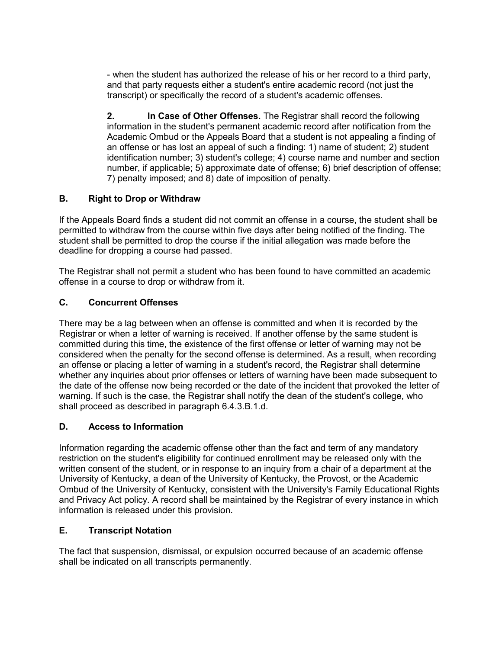- when the student has authorized the release of his or her record to a third party, and that party requests either a student's entire academic record (not just the transcript) or specifically the record of a student's academic offenses.

**2. In Case of Other Offenses.** The Registrar shall record the following information in the student's permanent academic record after notification from the Academic Ombud or the Appeals Board that a student is not appealing a finding of an offense or has lost an appeal of such a finding: 1) name of student; 2) student identification number; 3) student's college; 4) course name and number and section number, if applicable; 5) approximate date of offense; 6) brief description of offense; 7) penalty imposed; and 8) date of imposition of penalty.

### **B. Right to Drop or Withdraw**

If the Appeals Board finds a student did not commit an offense in a course, the student shall be permitted to withdraw from the course within five days after being notified of the finding. The student shall be permitted to drop the course if the initial allegation was made before the deadline for dropping a course had passed.

The Registrar shall not permit a student who has been found to have committed an academic offense in a course to drop or withdraw from it.

### **C. Concurrent Offenses**

There may be a lag between when an offense is committed and when it is recorded by the Registrar or when a letter of warning is received. If another offense by the same student is committed during this time, the existence of the first offense or letter of warning may not be considered when the penalty for the second offense is determined. As a result, when recording an offense or placing a letter of warning in a student's record, the Registrar shall determine whether any inquiries about prior offenses or letters of warning have been made subsequent to the date of the offense now being recorded or the date of the incident that provoked the letter of warning. If such is the case, the Registrar shall notify the dean of the student's college, who shall proceed as described in paragraph 6.4.3.B.1.d.

### **D. Access to Information**

Information regarding the academic offense other than the fact and term of any mandatory restriction on the student's eligibility for continued enrollment may be released only with the written consent of the student, or in response to an inquiry from a chair of a department at the University of Kentucky, a dean of the University of Kentucky, the Provost, or the Academic Ombud of the University of Kentucky, consistent with the University's Family Educational Rights and Privacy Act policy. A record shall be maintained by the Registrar of every instance in which information is released under this provision.

### **E. Transcript Notation**

The fact that suspension, dismissal, or expulsion occurred because of an academic offense shall be indicated on all transcripts permanently.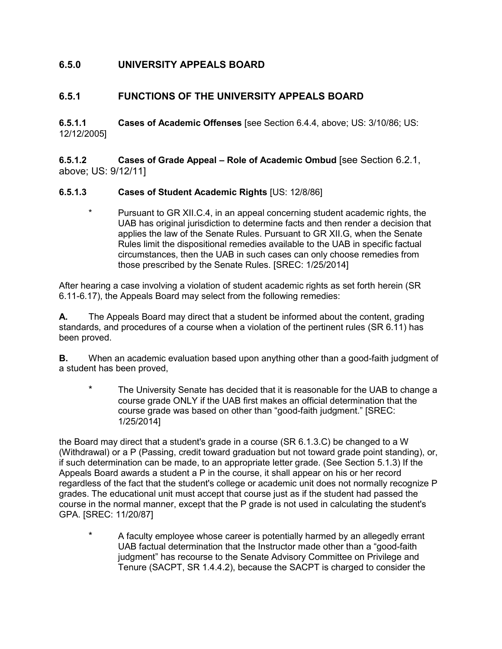## **6.5.0 UNIVERSITY APPEALS BOARD**

### **6.5.1 FUNCTIONS OF THE UNIVERSITY APPEALS BOARD**

**6.5.1.1 Cases of Academic Offenses** [see Section 6.4.4, above; US: 3/10/86; US: 12/12/2005]

**6.5.1.2 Cases of Grade Appeal – Role of Academic Ombud** [see Section 6.2.1, above; US: 9/12/11]

#### **6.5.1.3 Cases of Student Academic Rights** [US: 12/8/86]

\* Pursuant to GR XII.C.4, in an appeal concerning student academic rights, the UAB has original jurisdiction to determine facts and then render a decision that applies the law of the Senate Rules. Pursuant to GR XII.G, when the Senate Rules limit the dispositional remedies available to the UAB in specific factual circumstances, then the UAB in such cases can only choose remedies from those prescribed by the Senate Rules. [SREC: 1/25/2014]

After hearing a case involving a violation of student academic rights as set forth herein (SR 6.11-6.17), the Appeals Board may select from the following remedies:

**A.** The Appeals Board may direct that a student be informed about the content, grading standards, and procedures of a course when a violation of the pertinent rules (SR 6.11) has been proved.

**B.** When an academic evaluation based upon anything other than a good-faith judgment of a student has been proved,

\* The University Senate has decided that it is reasonable for the UAB to change a course grade ONLY if the UAB first makes an official determination that the course grade was based on other than "good-faith judgment." [SREC: 1/25/2014]

the Board may direct that a student's grade in a course (SR 6.1.3.C) be changed to a W (Withdrawal) or a P (Passing, credit toward graduation but not toward grade point standing), or, if such determination can be made, to an appropriate letter grade. (See Section 5.1.3) If the Appeals Board awards a student a P in the course, it shall appear on his or her record regardless of the fact that the student's college or academic unit does not normally recognize P grades. The educational unit must accept that course just as if the student had passed the course in the normal manner, except that the P grade is not used in calculating the student's GPA. [SREC: 11/20/87]

\* A faculty employee whose career is potentially harmed by an allegedly errant UAB factual determination that the Instructor made other than a "good-faith judgment" has recourse to the Senate Advisory Committee on Privilege and Tenure (SACPT, SR 1.4.4.2), because the SACPT is charged to consider the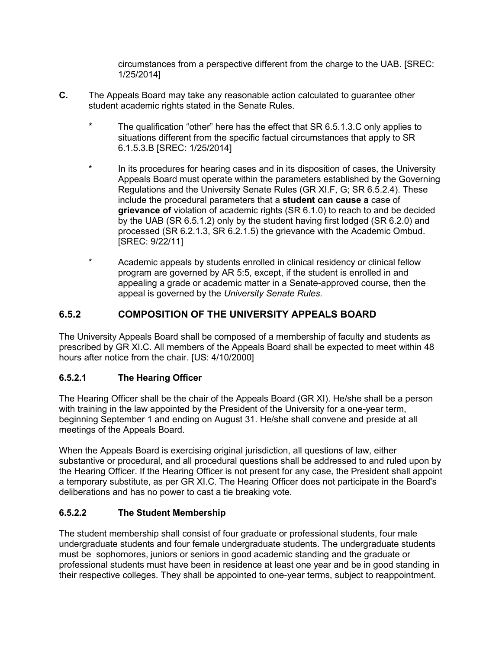circumstances from a perspective different from the charge to the UAB. [SREC: 1/25/2014]

- **C.** The Appeals Board may take any reasonable action calculated to guarantee other student academic rights stated in the Senate Rules.
	- \* The qualification "other" here has the effect that SR 6.5.1.3.C only applies to situations different from the specific factual circumstances that apply to SR 6.1.5.3.B [SREC: 1/25/2014]
	- \* In its procedures for hearing cases and in its disposition of cases, the University Appeals Board must operate within the parameters established by the Governing Regulations and the University Senate Rules (GR XI.F, G; SR 6.5.2.4). These include the procedural parameters that a **student can cause a** case of **grievance of** violation of academic rights (SR 6.1.0) to reach to and be decided by the UAB (SR 6.5.1.2) only by the student having first lodged (SR 6.2.0) and processed (SR 6.2.1.3, SR 6.2.1.5) the grievance with the Academic Ombud. [SREC: 9/22/11]
	- \* Academic appeals by students enrolled in clinical residency or clinical fellow program are governed by AR 5:5, except, if the student is enrolled in and appealing a grade or academic matter in a Senate-approved course, then the appeal is governed by the *University Senate Rules.*

# **6.5.2 COMPOSITION OF THE UNIVERSITY APPEALS BOARD**

The University Appeals Board shall be composed of a membership of faculty and students as prescribed by GR XI.C. All members of the Appeals Board shall be expected to meet within 48 hours after notice from the chair. [US: 4/10/2000]

### **6.5.2.1 The Hearing Officer**

The Hearing Officer shall be the chair of the Appeals Board (GR XI). He/she shall be a person with training in the law appointed by the President of the University for a one-year term, beginning September 1 and ending on August 31. He/she shall convene and preside at all meetings of the Appeals Board.

When the Appeals Board is exercising original jurisdiction, all questions of law, either substantive or procedural, and all procedural questions shall be addressed to and ruled upon by the Hearing Officer. If the Hearing Officer is not present for any case, the President shall appoint a temporary substitute, as per GR XI.C. The Hearing Officer does not participate in the Board's deliberations and has no power to cast a tie breaking vote.

### **6.5.2.2 The Student Membership**

The student membership shall consist of four graduate or professional students, four male undergraduate students and four female undergraduate students. The undergraduate students must be sophomores, juniors or seniors in good academic standing and the graduate or professional students must have been in residence at least one year and be in good standing in their respective colleges. They shall be appointed to one-year terms, subject to reappointment.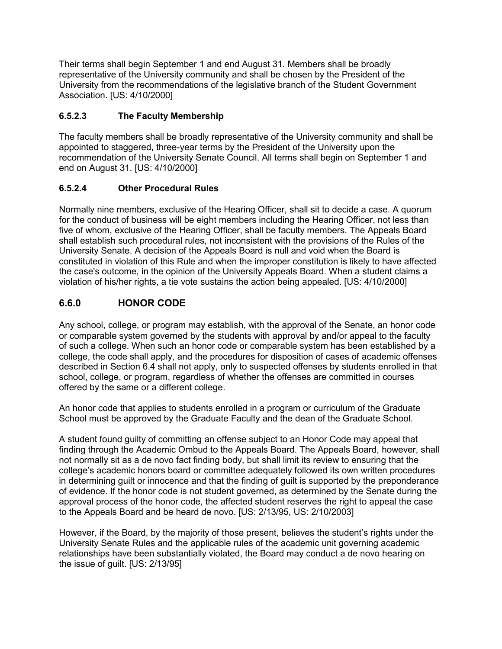Their terms shall begin September 1 and end August 31. Members shall be broadly representative of the University community and shall be chosen by the President of the University from the recommendations of the legislative branch of the Student Government Association. [US: 4/10/2000]

## **6.5.2.3 The Faculty Membership**

The faculty members shall be broadly representative of the University community and shall be appointed to staggered, three-year terms by the President of the University upon the recommendation of the University Senate Council. All terms shall begin on September 1 and end on August 31. [US: 4/10/2000]

### **6.5.2.4 Other Procedural Rules**

Normally nine members, exclusive of the Hearing Officer, shall sit to decide a case. A quorum for the conduct of business will be eight members including the Hearing Officer, not less than five of whom, exclusive of the Hearing Officer, shall be faculty members. The Appeals Board shall establish such procedural rules, not inconsistent with the provisions of the Rules of the University Senate. A decision of the Appeals Board is null and void when the Board is constituted in violation of this Rule and when the improper constitution is likely to have affected the case's outcome, in the opinion of the University Appeals Board. When a student claims a violation of his/her rights, a tie vote sustains the action being appealed. [US: 4/10/2000]

# **6.6.0 HONOR CODE**

Any school, college, or program may establish, with the approval of the Senate, an honor code or comparable system governed by the students with approval by and/or appeal to the faculty of such a college. When such an honor code or comparable system has been established by a college, the code shall apply, and the procedures for disposition of cases of academic offenses described in Section 6.4 shall not apply, only to suspected offenses by students enrolled in that school, college, or program, regardless of whether the offenses are committed in courses offered by the same or a different college.

An honor code that applies to students enrolled in a program or curriculum of the Graduate School must be approved by the Graduate Faculty and the dean of the Graduate School.

A student found guilty of committing an offense subject to an Honor Code may appeal that finding through the Academic Ombud to the Appeals Board. The Appeals Board, however, shall not normally sit as a de novo fact finding body, but shall limit its review to ensuring that the college's academic honors board or committee adequately followed its own written procedures in determining guilt or innocence and that the finding of guilt is supported by the preponderance of evidence. If the honor code is not student governed, as determined by the Senate during the approval process of the honor code, the affected student reserves the right to appeal the case to the Appeals Board and be heard de novo. [US: 2/13/95, US: 2/10/2003]

However, if the Board, by the majority of those present, believes the student's rights under the University Senate Rules and the applicable rules of the academic unit governing academic relationships have been substantially violated, the Board may conduct a de novo hearing on the issue of guilt. [US: 2/13/95]